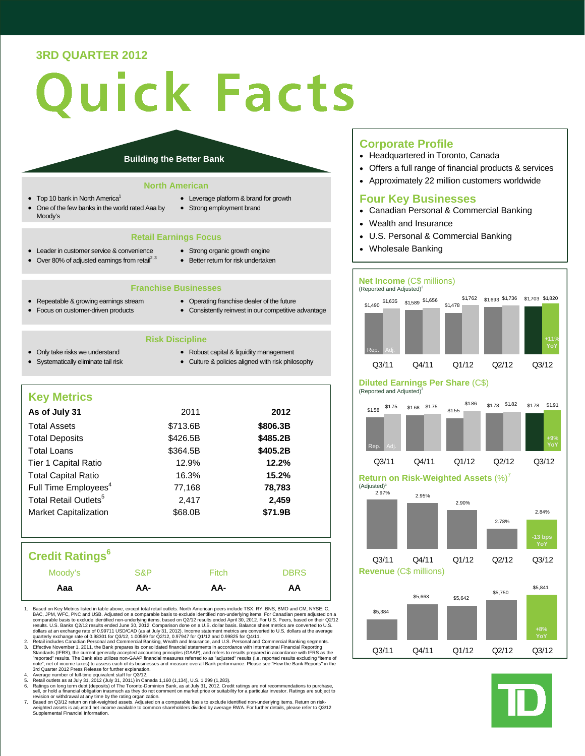### **3RD QUARTER 2012**

# uick Facts

### **Building the Better Bank**

### **North American**

- Top 10 bank in North America<sup>1</sup>
- One of the few banks in the world rated Aaa by Moody's
- Leverage platform & brand for growth
- Strong employment brand

### **Retail Earnings Focus**

- Leader in customer service & convenience
- Strong organic growth engine
- $\bullet$  Over 80% of adjusted earnings from retail<sup>2, 3</sup>
- Better return for risk undertaken
- **Franchise Businesses**
- Repeatable & growing earnings stream • Focus on customer-driven products
- Operating franchise dealer of the future Consistently reinvest in our competitive advantage
- **Risk Discipline**
- Only take risks we understand • Systematically eliminate tail risk
- Robust capital & liquidity management
- Culture & policies aligned with risk philosophy

### **Key Metrics**

| As of July 31                     | 2011     | 2012     |
|-----------------------------------|----------|----------|
| <b>Total Assets</b>               | \$713.6B | \$806.3B |
| <b>Total Deposits</b>             | \$426.5B | \$485.2B |
| <b>Total Loans</b>                | \$364.5B | \$405.2B |
| Tier 1 Capital Ratio              | 12.9%    | 12.2%    |
| <b>Total Capital Ratio</b>        | 16.3%    | 15.2%    |
| Full Time Employees <sup>4</sup>  | 77,168   | 78,783   |
| Total Retail Outlets <sup>5</sup> | 2,417    | 2,459    |
| <b>Market Capitalization</b>      | \$68.0B  | \$71.9B  |
|                                   |          |          |

### **Credit Ratings<sup>6</sup>**

| Moody's | S&P | Fitch | <b>DBRS</b> |
|---------|-----|-------|-------------|
| Aaa     | AA- | AA-   | AA          |

- 1. Based on Key Metrics listed in table above, except total retail outlets. North American peers include TSX: RY, BNS, BMO and CM, NYSE: C, BAC, JPM, WFC, PNC and CM, David USB. Adjusted on a comparable basis to exclude id
- 2. Retail includes Canadian Personal and Commercial Banking, Wealth and Insurance, and U.S. Personal and Commercial Banking segments.<br>3. Effective November 1, 2011, the Bank prepares its consolidated financial statements i note", net of income taxes) to assess each of its businesses and measure overall Bank performance. Please see "How the Bank Reports" in the 3rd Quarter 2012 Press Release for further explanation.
- 
- 4. Average number of full-time equivalent staff for Q3/12.<br>5. Retail outlets as at July 31, 2012 (July 31, 2011) in Canada 1,160 (1,134), U.S. 1,299 (1,283).<br>6. Ratings on long term debt (deposits) of The Toronto-Dom

revision or withdrawal at any time by the rating organization.<br>7. Based on Q3/12 return on risk-weighted assets. Adjusted on a comparable basis to exclude identified non-underlying items. Return on risk-<br>weighted assets

### **Corporate Profile**

- Headquartered in Toronto, Canada
- Offers a full range of financial products & services
- Approximately 22 million customers worldwide

### **Four Key Businesses**

- Canadian Personal & Commercial Banking
- Wealth and Insurance
- U.S. Personal & Commercial Banking
- Wholesale Banking

### **Net Income** (C\$ millions)



### **Diluted Earnings Per Share** (C\$) (Reported and Adjusted)<sup>3</sup>



**Return on Risk-Weighted Assets** (%)<sup>7</sup>